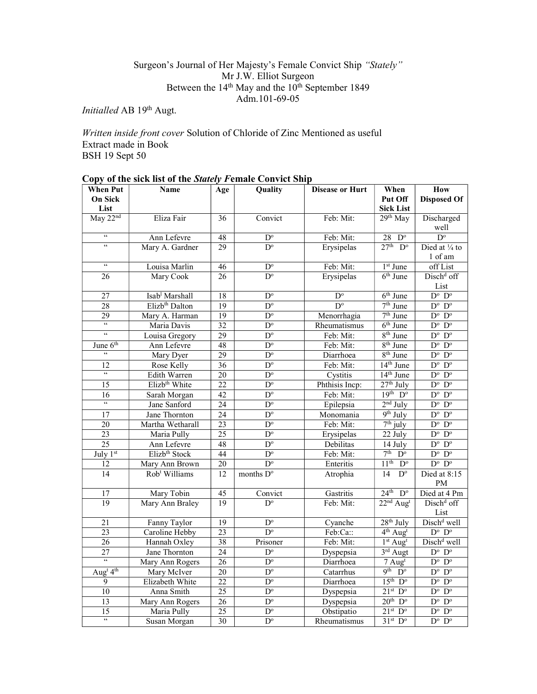## Surgeon's Journal of Her Majesty's Female Convict Ship "Stately" Mr J.W. Elliot Surgeon Between the 14<sup>th</sup> May and the 10<sup>th</sup> September 1849 Adm.101-69-05

Initialled AB 19th Augt.

Written inside front cover Solution of Chloride of Zinc Mentioned as useful Extract made in Book BSH 19 Sept 50

| <b>When Put</b>                  | $\mathcal{O}(\mathbf{p})$ of the sign hat of the stately Female $\mathcal{O}(\mathbf{n})$ and $\mathcal{O}(\mathbf{n})$<br>Name | Age             | Quality                 | <b>Disease or Hurt</b> | When                                       | <b>How</b>                 |
|----------------------------------|---------------------------------------------------------------------------------------------------------------------------------|-----------------|-------------------------|------------------------|--------------------------------------------|----------------------------|
| <b>On Sick</b>                   |                                                                                                                                 |                 |                         |                        | Put Off                                    | <b>Disposed Of</b>         |
| List                             |                                                                                                                                 |                 |                         |                        | <b>Sick List</b>                           |                            |
| May 22nd                         | Eliza Fair                                                                                                                      | 36              | Convict                 | Feb: Mit:              | 29th May                                   | Discharged                 |
|                                  |                                                                                                                                 |                 |                         |                        |                                            | well                       |
| $\epsilon\epsilon$               | Ann Lefevre                                                                                                                     | 48              | $D^{\circ}$             | Feb: Mit:              | 28<br>$D^{\circ}$                          | $D^{\circ}$                |
| $\overline{\omega}$              | Mary A. Gardner                                                                                                                 | 29              | $D^{\circ}$             | Erysipelas             | $27th$ D <sup>o</sup>                      | Died at 1/4 to             |
|                                  |                                                                                                                                 |                 |                         |                        |                                            | 1 of am                    |
| $\epsilon\epsilon$               | Louisa Marlin                                                                                                                   | $\overline{46}$ | $D^{\circ}$             | Feb: Mit:              | $1st$ June                                 | off List                   |
| 26                               | Mary Cook                                                                                                                       | 26              | $D^{\circ}$             | Erysipelas             | $6th$ June                                 | Disch <sup>d</sup> off     |
|                                  |                                                                                                                                 |                 |                         |                        |                                            | List                       |
| 27                               | Isab <sup>1</sup> Marshall                                                                                                      | 18              | $D^{\circ}$             | $D^{\circ}$            | $6th$ June                                 | $D^{\circ}$ $D^{\circ}$    |
| 28                               | Elizb <sup>th</sup> Dalton                                                                                                      | 19              | $D^{\circ}$             | $D^{\circ}$            | $7th$ June                                 | $D^o$ $D^o$                |
| $\overline{29}$                  | Mary A. Harman                                                                                                                  | 19              | $D^{\circ}$             | Menorrhagia            | $7th$ June                                 | $D^o$ $D^o$                |
| $\mathfrak{c}\mathfrak{c}$       | Maria Davis                                                                                                                     | 32              | $\overline{D^{\circ}}$  | Rheumatismus           | $6th$ June                                 | $D^o$ $D^o$                |
| $\mathfrak{c}\mathfrak{c}$       | Louisa Gregory                                                                                                                  | $\overline{29}$ | $\overline{D^{\circ}}$  | Feb: Mit:              | 8 <sup>th</sup> June                       | $D^{\circ}$ $D^{\circ}$    |
| June 6 <sup>th</sup>             | Ann Lefevre                                                                                                                     | 48              | $\overline{D^{\circ}}$  | Feb: Mit:              | 8 <sup>th</sup> June                       | $D^{\circ}$ $D^{\circ}$    |
| $\zeta\,\zeta$                   | Mary Dyer                                                                                                                       | $\overline{29}$ | $D^{\circ}$             | Diarrhoea              | 8 <sup>th</sup> June                       | $D^o$ $D^o$                |
| 12                               | Rose Kelly                                                                                                                      | 36              | $D^{\circ}$             | Feb: Mit:              | 14 <sup>th</sup> June                      | $D^o$ $D^o$                |
| $\mathfrak{c}\mathfrak{c}$       | Edith Warren                                                                                                                    | 20              | $D^{\circ}$             | Cystitis               | 14 <sup>th</sup> June                      | $D^{\circ}$ $D^{\circ}$    |
| 15                               | Elizb <sup>th</sup> White                                                                                                       | $\overline{22}$ | $D^{\circ}$             | Phthisis Incp:         | $27th$ July                                | $D^o$ $D^o$                |
| 16                               | Sarah Morgan                                                                                                                    | 42              | $D^{\circ}$             | Feb: Mit:              | $19th$ $Do$                                | $D^o$ $D^o$                |
| $\mathfrak{c}\mathfrak{c}$       | Jane Sanford                                                                                                                    | $\overline{24}$ | $\overline{D^{\circ}}$  | Epilepsia              | $2nd$ July                                 | $D^o$ $D^o$                |
| 17                               | Jane Thornton                                                                                                                   | $\overline{24}$ | $D^{\circ}$             | Monomania              | 9 <sup>th</sup> July                       | $D^{\circ}$ $D^{\circ}$    |
| 20                               | Martha Wetharall                                                                                                                | 23              | $D^{\circ}$             | Feb: Mit:              | $7th$ july                                 | $D^{\circ}$ $D^{\circ}$    |
| 23                               | Maria Pully                                                                                                                     | 25              | $D^{\circ}$             | Erysipelas             | $22$ July                                  | $D^o$ $D^o$                |
| 25                               | Ann Lefevre                                                                                                                     | 48              | $\mathbf{D}^{\text{o}}$ | Debilitas              | $\overline{14}$ July                       | $D^o$ $D^o$                |
| July 1st                         | Elizb <sup>th</sup> Stock                                                                                                       | $\overline{44}$ | $\overline{D^{\circ}}$  | Feb: Mit:              | 7 <sup>th</sup><br>$\overline{D^{\circ}}$  | $D^{\circ}$<br>$D^{\circ}$ |
| 12                               | Mary Ann Brown                                                                                                                  | 20              | $\overline{D}^{\circ}$  | Enteritis              | 11 <sup>th</sup><br>$\overline{D^{\circ}}$ | $D^o$ $D^o$                |
| $\overline{14}$                  | Rob <sup>t</sup> Williams                                                                                                       | 12              | months D°               | Atrophia               | $\overline{D^{\circ}}$<br>14               | Died at 8:15               |
|                                  |                                                                                                                                 |                 |                         |                        |                                            | PM                         |
| 17                               | Mary Tobin                                                                                                                      | 45              | Convict                 | Gastritis              | 24 <sup>th</sup><br>$\overline{D^{\circ}}$ | Died at 4 Pm               |
| 19                               | Mary Ann Braley                                                                                                                 | 19              | $\overline{D^{\circ}}$  | Feb: Mit:              | $22nd$ Aug <sup>t</sup>                    | Disch <sup>d</sup> off     |
|                                  |                                                                                                                                 |                 |                         |                        |                                            | List                       |
| $\overline{21}$                  | Fanny Taylor                                                                                                                    | $\overline{19}$ | $D^{\circ}$             | Cyanche                | $28th$ July                                | Disch <sup>d</sup> well    |
| $\overline{23}$                  | Caroline Hebby                                                                                                                  | $\overline{23}$ | $\overline{D^{\circ}}$  | Feb:Ca::               | 4 <sup>th</sup> Aug <sup>t</sup>           | $D^o$ $D^o$                |
| 26                               | Hannah Oxley                                                                                                                    | 38              | Prisoner                | Feb: Mit:              | $1st$ Aug <sup>t</sup>                     | Disch <sup>d</sup> well    |
| 27                               | Jane Thornton                                                                                                                   | $\overline{24}$ | $\overline{D^{\circ}}$  | Dyspepsia              | $3rd$ Augt                                 | $D^o$ $D^o$                |
| $\epsilon$                       | Mary Ann Rogers                                                                                                                 | $\overline{26}$ | $D^{\circ}$             | Diarrhoea              | $7 \text{ Aug}^t$                          | $D^o$ $D^o$                |
| Aug <sup>t</sup> 4 <sup>th</sup> | Mary McIver                                                                                                                     | 20              | $D^{\circ}$             | Catarrhus              | $9th$ $Do$                                 | $D^o$ $D^o$                |
| 9                                | Elizabeth White                                                                                                                 | $\overline{22}$ | $D^{\circ}$             | Diarrhoea              | $15th$ D <sup>o</sup>                      | $D^o$ $D^o$                |
| 10                               | Anna Smith                                                                                                                      | 25              | $D^{\circ}$             | Dyspepsia              | $21st$ D <sup>o</sup>                      | $D^o$ $D^o$                |
| $\overline{13}$                  | Mary Ann Rogers                                                                                                                 | 26              | $\overline{D^{\circ}}$  | Dyspepsia              | $20th$ D <sup>o</sup>                      | $D^{\circ}$<br>$D^{\circ}$ |
| $\overline{15}$                  | Maria Pully                                                                                                                     | $\overline{25}$ | $D^{\circ}$             | Obstipatio             | $21st$ D <sup>o</sup>                      | $D^o$ $D^o$                |
| $\epsilon$                       | Susan Morgan                                                                                                                    | $\overline{30}$ | $\overline{D^{\circ}}$  | Rheumatismus           | 31 <sup>st</sup> D <sup>o</sup>            | $D^{\circ}$ $D^{\circ}$    |

# Copy of the sick list of the Stately Female Convict Ship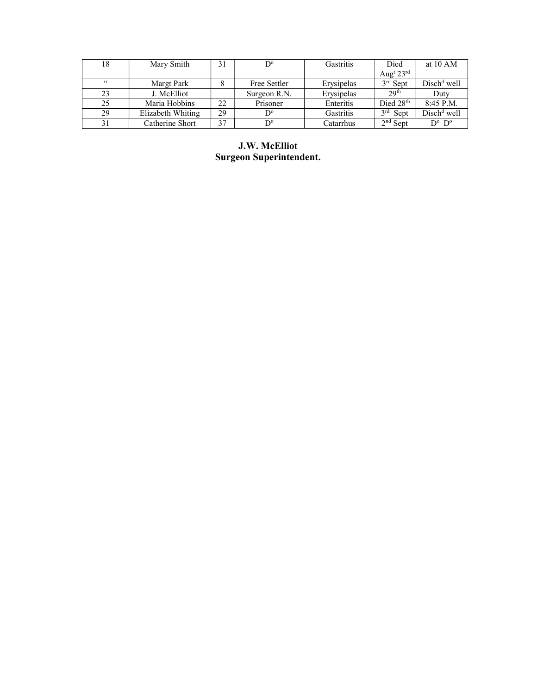| 18 | Mary Smith        | 31 | $D^{\circ}$          | Gastritis  | Died                              | at $10 AM$              |
|----|-------------------|----|----------------------|------------|-----------------------------------|-------------------------|
|    |                   |    |                      |            | Aug <sup>t</sup> $23^{\text{rd}}$ |                         |
| 66 | Margt Park        |    | Free Settler         | Erysipelas | $3rd$ Sept                        | $Dischd$ well           |
| 23 | J. McElliot       |    | Surgeon R.N.         | Erysipelas | 29 <sup>th</sup>                  | Duty                    |
| 25 | Maria Hobbins     | 22 | Prisoner             | Enteritis  | Died 28 <sup>th</sup>             | $8:45$ P.M.             |
| 29 | Elizabeth Whiting | 29 | $D^{\circ}$          | Gastritis  | 2rd<br>Sept                       | $Dischd$ well           |
| 31 | Catherine Short   | 37 | $\mathbf{D}^{\circ}$ | Catarrhus  | $2nd$ Sept                        | $D^{\circ}$ $D^{\circ}$ |

J.W. McElliot Surgeon Superintendent.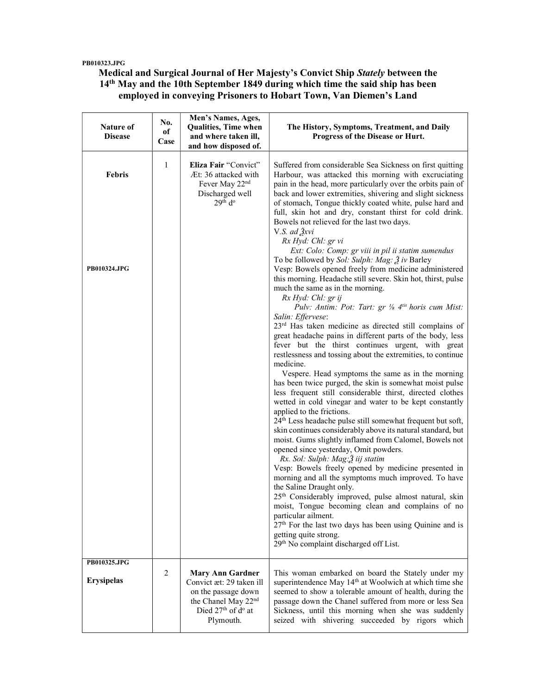#### PB010323.JPG

## Medical and Surgical Journal of Her Majesty's Convict Ship Stately between the 14<sup>th</sup> May and the 10th September 1849 during which time the said ship has been employed in conveying Prisoners to Hobart Town, Van Diemen's Land

| Nature of<br><b>Disease</b>          | No.<br>of<br>Case | Men's Names, Ages,<br>Qualities, Time when<br>and where taken ill,<br>and how disposed of.                                                                               | The History, Symptoms, Treatment, and Daily<br>Progress of the Disease or Hurt.                                                                                                                                                                                                                                                                                                                                                                                                                                                                                                                                                                                                                                                                                                                                                                                                                                                                                                                                                                                                                                                                                                                                                                                                                                                                                                                                                                                                                                                                                                                                                                                                                                                                                                                                                                                                                                                                                                                                         |
|--------------------------------------|-------------------|--------------------------------------------------------------------------------------------------------------------------------------------------------------------------|-------------------------------------------------------------------------------------------------------------------------------------------------------------------------------------------------------------------------------------------------------------------------------------------------------------------------------------------------------------------------------------------------------------------------------------------------------------------------------------------------------------------------------------------------------------------------------------------------------------------------------------------------------------------------------------------------------------------------------------------------------------------------------------------------------------------------------------------------------------------------------------------------------------------------------------------------------------------------------------------------------------------------------------------------------------------------------------------------------------------------------------------------------------------------------------------------------------------------------------------------------------------------------------------------------------------------------------------------------------------------------------------------------------------------------------------------------------------------------------------------------------------------------------------------------------------------------------------------------------------------------------------------------------------------------------------------------------------------------------------------------------------------------------------------------------------------------------------------------------------------------------------------------------------------------------------------------------------------------------------------------------------------|
| <b>Febris</b><br><b>PB010324.JPG</b> | 1                 | Eliza Fair "Convict"<br>Æt: 36 attacked with<br>Fever May 22 <sup>nd</sup><br>Discharged well<br>29 <sup>th</sup> d <sup>o</sup>                                         | Suffered from considerable Sea Sickness on first quitting<br>Harbour, was attacked this morning with excruciating<br>pain in the head, more particularly over the orbits pain of<br>back and lower extremities, shivering and slight sickness<br>of stomach, Tongue thickly coated white, pulse hard and<br>full, skin hot and dry, constant thirst for cold drink.<br>Bowels not relieved for the last two days.<br>V.S. ad $\lambda y$<br>Rx Hyd: Chl: gr vi<br>Ext: Colo: Comp: gr viii in pil ii statim sumendus<br>To be followed by Sol: Sulph: Mag: 3 iv Barley<br>Vesp: Bowels opened freely from medicine administered<br>this morning. Headache still severe. Skin hot, thirst, pulse<br>much the same as in the morning.<br>Rx Hyd: Chl: gr ij<br>Pulv: Antim: Pot: Tart: gr 1/8 4tis horis cum Mist:<br>Salin: Effervese:<br>$23rd$ Has taken medicine as directed still complains of<br>great headache pains in different parts of the body, less<br>fever but the thirst continues urgent, with great<br>restlessness and tossing about the extremities, to continue<br>medicine.<br>Vespere. Head symptoms the same as in the morning<br>has been twice purged, the skin is somewhat moist pulse<br>less frequent still considerable thirst, directed clothes<br>wetted in cold vinegar and water to be kept constantly<br>applied to the frictions.<br>24 <sup>th</sup> Less headache pulse still somewhat frequent but soft,<br>skin continues considerably above its natural standard, but<br>moist. Gums slightly inflamed from Calomel, Bowels not<br>opened since yesterday, Omit powders.<br>Rx. Sol: Sulph: Mag: 3 iij statim<br>Vesp: Bowels freely opened by medicine presented in<br>morning and all the symptoms much improved. To have<br>the Saline Draught only.<br>25 <sup>th</sup> Considerably improved, pulse almost natural, skin<br>moist, Tongue becoming clean and complains of no<br>particular ailment.<br>27 <sup>th</sup> For the last two days has been using Quinine and is |
|                                      |                   |                                                                                                                                                                          | getting quite strong.<br>29 <sup>th</sup> No complaint discharged off List.                                                                                                                                                                                                                                                                                                                                                                                                                                                                                                                                                                                                                                                                                                                                                                                                                                                                                                                                                                                                                                                                                                                                                                                                                                                                                                                                                                                                                                                                                                                                                                                                                                                                                                                                                                                                                                                                                                                                             |
| PB010325.JPG<br><b>Erysipelas</b>    | 2                 | <b>Mary Ann Gardner</b><br>Convict æt: 29 taken ill<br>on the passage down<br>the Chanel May 22 <sup>nd</sup><br>Died 27 <sup>th</sup> of d <sup>o</sup> at<br>Plymouth. | This woman embarked on board the Stately under my<br>superintendence May 14 <sup>th</sup> at Woolwich at which time she<br>seemed to show a tolerable amount of health, during the<br>passage down the Chanel suffered from more or less Sea<br>Sickness, until this morning when she was suddenly<br>seized with shivering succeeded by rigors which                                                                                                                                                                                                                                                                                                                                                                                                                                                                                                                                                                                                                                                                                                                                                                                                                                                                                                                                                                                                                                                                                                                                                                                                                                                                                                                                                                                                                                                                                                                                                                                                                                                                   |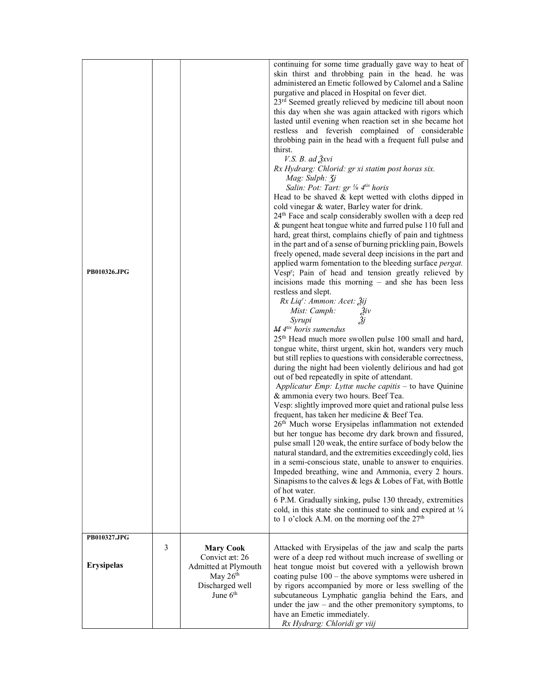| PB010326.JPG      |   |                                                                                                           | continuing for some time gradually gave way to heat of<br>skin thirst and throbbing pain in the head. he was<br>administered an Emetic followed by Calomel and a Saline<br>purgative and placed in Hospital on fever diet.<br>23 <sup>rd</sup> Seemed greatly relieved by medicine till about noon<br>this day when she was again attacked with rigors which<br>lasted until evening when reaction set in she became hot<br>restless and feverish complained of considerable<br>throbbing pain in the head with a frequent full pulse and<br>thirst.<br>$V.S. B. ad \, \lambda xvi$<br>Rx Hydrarg: Chlorid: gr xi statim post horas six.<br>Mag: Sulph: 3j<br>Salin: Pot: Tart: gr 1/8 4tis horis<br>Head to be shaved $&$ kept wetted with cloths dipped in<br>cold vinegar & water, Barley water for drink.<br>24 <sup>th</sup> Face and scalp considerably swollen with a deep red<br>& pungent heat tongue white and furred pulse 110 full and<br>hard, great thirst, complains chiefly of pain and tightness<br>in the part and of a sense of burning prickling pain, Bowels<br>freely opened, made several deep incisions in the part and<br>applied warm fomentation to the bleeding surface pergat.<br>Vesp <sup>r</sup> ; Pain of head and tension greatly relieved by<br>incisions made this morning – and she has been less<br>restless and slept.<br>Rx Liq': Ammon: Acet: 3ij<br>Mist: Camph:<br>Živ<br>Žj<br>Syrupi<br>M <sup>4tis</sup> horis sumendus<br>25 <sup>th</sup> Head much more swollen pulse 100 small and hard,<br>tongue white, thirst urgent, skin hot, wanders very much<br>but still replies to questions with considerable correctness,<br>during the night had been violently delirious and had got<br>out of bed repeatedly in spite of attendant.<br>Applicatur Emp: Lyttæ nuche capitis – to have Quinine<br>& ammonia every two hours. Beef Tea.<br>Vesp: slightly improved more quiet and rational pulse less<br>frequent, has taken her medicine & Beef Tea.<br>26 <sup>th</sup> Much worse Erysipelas inflammation not extended<br>but her tongue has become dry dark brown and fissured,<br>pulse small 120 weak, the entire surface of body below the<br>natural standard, and the extremities exceedingly cold, lies<br>in a semi-conscious state, unable to answer to enquiries.<br>Impeded breathing, wine and Ammonia, every 2 hours.<br>Sinapisms to the calves & legs & Lobes of Fat, with Bottle<br>of hot water.<br>6 P.M. Gradually sinking, pulse 130 thready, extremities<br>cold, in this state she continued to sink and expired at $\frac{1}{4}$<br>to 1 o'clock A.M. on the morning oof the $27th$ |
|-------------------|---|-----------------------------------------------------------------------------------------------------------|-------------------------------------------------------------------------------------------------------------------------------------------------------------------------------------------------------------------------------------------------------------------------------------------------------------------------------------------------------------------------------------------------------------------------------------------------------------------------------------------------------------------------------------------------------------------------------------------------------------------------------------------------------------------------------------------------------------------------------------------------------------------------------------------------------------------------------------------------------------------------------------------------------------------------------------------------------------------------------------------------------------------------------------------------------------------------------------------------------------------------------------------------------------------------------------------------------------------------------------------------------------------------------------------------------------------------------------------------------------------------------------------------------------------------------------------------------------------------------------------------------------------------------------------------------------------------------------------------------------------------------------------------------------------------------------------------------------------------------------------------------------------------------------------------------------------------------------------------------------------------------------------------------------------------------------------------------------------------------------------------------------------------------------------------------------------------------------------------------------------------------------------------------------------------------------------------------------------------------------------------------------------------------------------------------------------------------------------------------------------------------------------------------------------------------------------------------------------------------------------------------------------------------------------------------------------------------------------------------------------------------------------------------------|
| PB010327.JPG      |   |                                                                                                           |                                                                                                                                                                                                                                                                                                                                                                                                                                                                                                                                                                                                                                                                                                                                                                                                                                                                                                                                                                                                                                                                                                                                                                                                                                                                                                                                                                                                                                                                                                                                                                                                                                                                                                                                                                                                                                                                                                                                                                                                                                                                                                                                                                                                                                                                                                                                                                                                                                                                                                                                                                                                                                                             |
| <b>Erysipelas</b> | 3 | <b>Mary Cook</b><br>Convict æt: 26<br>Admitted at Plymouth<br>May $26th$<br>Discharged well<br>June $6th$ | Attacked with Erysipelas of the jaw and scalp the parts<br>were of a deep red without much increase of swelling or<br>heat tongue moist but covered with a yellowish brown<br>coating pulse $100$ – the above symptoms were ushered in<br>by rigors accompanied by more or less swelling of the<br>subcutaneous Lymphatic ganglia behind the Ears, and<br>under the jaw $-$ and the other premonitory symptoms, to<br>have an Emetic immediately.<br>Rx Hydrarg: Chloridi gr viij                                                                                                                                                                                                                                                                                                                                                                                                                                                                                                                                                                                                                                                                                                                                                                                                                                                                                                                                                                                                                                                                                                                                                                                                                                                                                                                                                                                                                                                                                                                                                                                                                                                                                                                                                                                                                                                                                                                                                                                                                                                                                                                                                                           |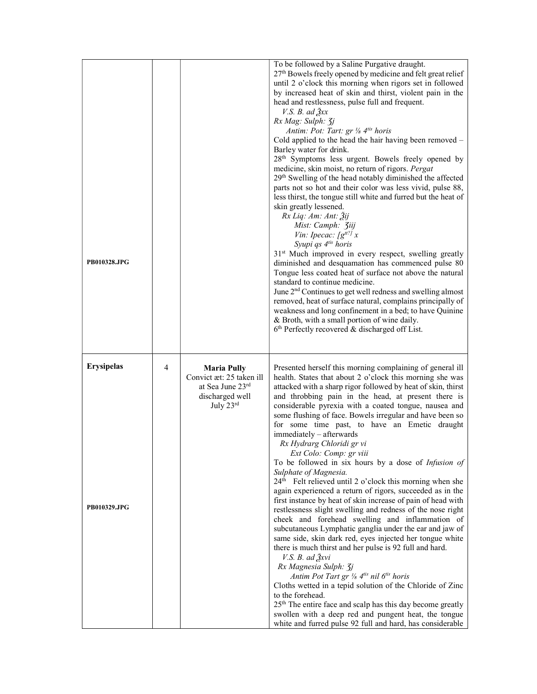| PB010328.JPG                      |   |                                                                                                      | To be followed by a Saline Purgative draught.<br>27 <sup>th</sup> Bowels freely opened by medicine and felt great relief<br>until 2 o'clock this morning when rigors set in followed<br>by increased heat of skin and thirst, violent pain in the<br>head and restlessness, pulse full and frequent.<br>V.S. B. ad $\lambda x$<br>Rx Mag: Sulph: 3j<br>Antim: Pot: Tart: gr 1/8 4tis horis<br>Cold applied to the head the hair having been removed -<br>Barley water for drink.<br>28 <sup>th</sup> Symptoms less urgent. Bowels freely opened by<br>medicine, skin moist, no return of rigors. Pergat<br>29 <sup>th</sup> Swelling of the head notably diminished the affected<br>parts not so hot and their color was less vivid, pulse 88,<br>less thirst, the tongue still white and furred but the heat of<br>skin greatly lessened.<br>Rx Liq: Am: Ant: Žij<br>Mist: Camph: <i>Jiij</i><br>Vin: Ipecac: $\int g^{tt?} x$<br>Syupi qs 4 <sup>tis</sup> horis<br>31 <sup>st</sup> Much improved in every respect, swelling greatly<br>diminished and desquamation has commenced pulse 80<br>Tongue less coated heat of surface not above the natural<br>standard to continue medicine.<br>June 2 <sup>nd</sup> Continues to get well redness and swelling almost<br>removed, heat of surface natural, complains principally of<br>weakness and long confinement in a bed; to have Quinine<br>& Broth, with a small portion of wine daily.<br>$6th$ Perfectly recovered & discharged off List.  |
|-----------------------------------|---|------------------------------------------------------------------------------------------------------|-----------------------------------------------------------------------------------------------------------------------------------------------------------------------------------------------------------------------------------------------------------------------------------------------------------------------------------------------------------------------------------------------------------------------------------------------------------------------------------------------------------------------------------------------------------------------------------------------------------------------------------------------------------------------------------------------------------------------------------------------------------------------------------------------------------------------------------------------------------------------------------------------------------------------------------------------------------------------------------------------------------------------------------------------------------------------------------------------------------------------------------------------------------------------------------------------------------------------------------------------------------------------------------------------------------------------------------------------------------------------------------------------------------------------------------------------------------------------------------------------------|
| <b>Erysipelas</b><br>PB010329.JPG | 4 | <b>Maria Pully</b><br>Convict æt: 25 taken ill<br>at Sea June 23rd<br>discharged well<br>July $23rd$ | Presented herself this morning complaining of general ill<br>health. States that about 2 o'clock this morning she was<br>attacked with a sharp rigor followed by heat of skin, thirst<br>and throbbing pain in the head, at present there is<br>considerable pyrexia with a coated tongue, nausea and<br>some flushing of face. Bowels irregular and have been so<br>for some time past, to have an Emetic draught<br>immediately - afterwards<br>Rx Hydrarg Chloridi gr vi<br>Ext Colo: Comp: gr viii<br>To be followed in six hours by a dose of Infusion of<br>Sulphate of Magnesia.<br>24 <sup>th</sup> Felt relieved until 2 o'clock this morning when she<br>again experienced a return of rigors, succeeded as in the<br>first instance by heat of skin increase of pain of head with<br>restlessness slight swelling and redness of the nose right<br>cheek and forehead swelling and inflammation of<br>subcutaneous Lymphatic ganglia under the ear and jaw of<br>same side, skin dark red, eyes injected her tongue white<br>there is much thirst and her pulse is 92 full and hard.<br>V.S. B. ad $\frac{\partial x}{\partial x}$<br>Rx Magnesia Sulph: 3j<br>Antim Pot Tart gr 1/8 4tis nil 6tis horis<br>Cloths wetted in a tepid solution of the Chloride of Zinc<br>to the forehead.<br>25 <sup>th</sup> The entire face and scalp has this day become greatly<br>swollen with a deep red and pungent heat, the tongue<br>white and furred pulse 92 full and hard, has considerable |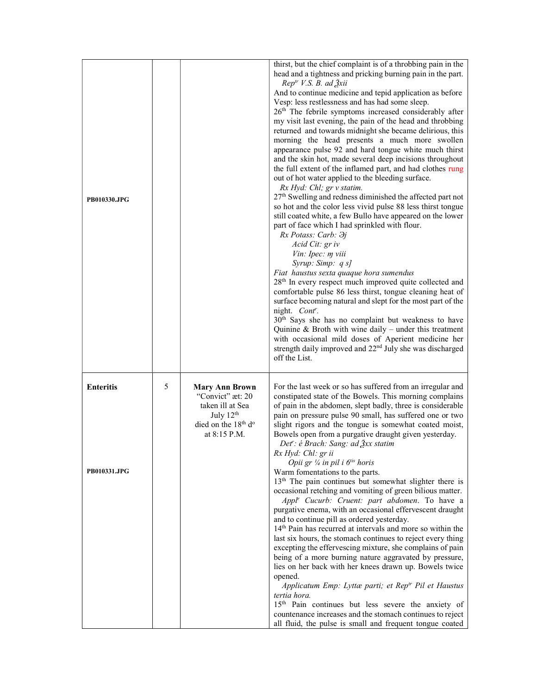| <b>PB010330.JPG</b>              |   |                                                                                                                                             | thirst, but the chief complaint is of a throbbing pain in the<br>head and a tightness and pricking burning pain in the part.<br>$Reptr V.S. B. ad \tilde{3}xiiAnd to continue medicine and tepid application as beforeVesp: less restlessness and has had some sleep.26th The febrile symptoms increased considerably aftermy visit last evening, the pain of the head and throbbingreturned and towards midnight she became delirious, thismorning the head presents a much more swollenappearance pulse 92 and hard tongue white much thirstand the skin hot, made several deep incisions throughoutthe full extent of the inflamed part, and had clothes rungout of hot water applied to the bleeding surface.Rx Hyd: Chl; gr v statim.27th Swelling and redness diminished the affected part notso hot and the color less vivid pulse 88 less thirst tonguestill coated white, a few Bullo have appeared on the lowerpart of face which I had sprinkled with flour.Rx Potass: Carb: \partial jAcid Cit: gr ivVin: Ipec: m viiiSyrup: Simp: q s]Fiat haustus sexta quaque hora sumendus28th In every respect much improved quite collected andcomfortable pulse 86 less thirst, tongue cleaning heat ofsurface becoming natural and slept for the most part of thenight. Contr.30th Says she has no complaint but weakness to haveQuinine & Broth with wine daily – under this treatmentwith occasional mild doses of Aperient medicine herstrength daily improved and 22nd July she was dischargedoff the List.$ |
|----------------------------------|---|---------------------------------------------------------------------------------------------------------------------------------------------|----------------------------------------------------------------------------------------------------------------------------------------------------------------------------------------------------------------------------------------------------------------------------------------------------------------------------------------------------------------------------------------------------------------------------------------------------------------------------------------------------------------------------------------------------------------------------------------------------------------------------------------------------------------------------------------------------------------------------------------------------------------------------------------------------------------------------------------------------------------------------------------------------------------------------------------------------------------------------------------------------------------------------------------------------------------------------------------------------------------------------------------------------------------------------------------------------------------------------------------------------------------------------------------------------------------------------------------------------------------------------------------------------------------------------------------------------------------------------------------------------------------------|
| <b>Enteritis</b><br>PB010331.JPG | 5 | <b>Mary Ann Brown</b><br>"Convict" æt: 20<br>taken ill at Sea<br>July $12th$<br>died on the 18 <sup>th</sup> d <sup>o</sup><br>at 8:15 P.M. | For the last week or so has suffered from an irregular and<br>constipated state of the Bowels. This morning complains<br>of pain in the abdomen, slept badly, three is considerable<br>pain on pressure pulse 90 small, has suffered one or two<br>slight rigors and the tongue is somewhat coated moist,<br>Bowels open from a purgative draught given yesterday.<br>Det': é Brach: Sang: ad Ѯxx statim<br>Rx Hyd: Chl: gr ii<br>Opii gr 1/4 in pil i $6^{$ } horis<br>Warm fomentations to the parts.<br>13 <sup>th</sup> The pain continues but somewhat slighter there is<br>occasional retching and vomiting of green bilious matter.<br>Appl <sup>r</sup> Cucurb: Cruent: part abdomen. To have a<br>purgative enema, with an occasional effervescent draught<br>and to continue pill as ordered yesterday.<br>14 <sup>th</sup> Pain has recurred at intervals and more so within the<br>last six hours, the stomach continues to reject every thing<br>excepting the effervescing mixture, she complains of pain<br>being of a more burning nature aggravated by pressure,<br>lies on her back with her knees drawn up. Bowels twice<br>opened.<br>Applicatum Emp: Lyttæ parti; et Rep <sup>tr</sup> Pil et Haustus<br>tertia hora.<br>15 <sup>th</sup> Pain continues but less severe the anxiety of<br>countenance increases and the stomach continues to reject<br>all fluid, the pulse is small and frequent tongue coated                                                                                |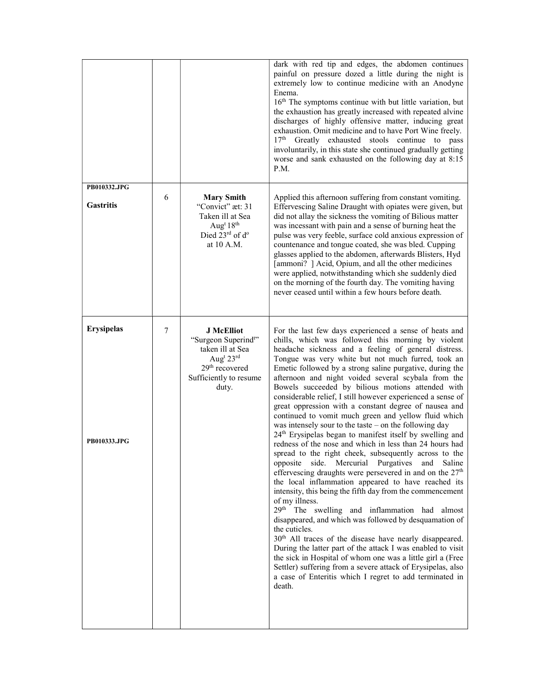|                                   |   |                                                                                                                                                                      | dark with red tip and edges, the abdomen continues<br>painful on pressure dozed a little during the night is<br>extremely low to continue medicine with an Anodyne<br>Enema.<br>16 <sup>th</sup> The symptoms continue with but little variation, but<br>the exhaustion has greatly increased with repeated alvine<br>discharges of highly offensive matter, inducing great<br>exhaustion. Omit medicine and to have Port Wine freely.<br>17 <sup>th</sup><br>Greatly exhausted stools continue to pass<br>involuntarily, in this state she continued gradually getting<br>worse and sank exhausted on the following day at 8:15<br>P.M.                                                                                                                                                                                                                                                                                                                                                                                                                                                                                                                                                                                                                                                                                                                                                                                                                                                                                                                                                                |
|-----------------------------------|---|----------------------------------------------------------------------------------------------------------------------------------------------------------------------|---------------------------------------------------------------------------------------------------------------------------------------------------------------------------------------------------------------------------------------------------------------------------------------------------------------------------------------------------------------------------------------------------------------------------------------------------------------------------------------------------------------------------------------------------------------------------------------------------------------------------------------------------------------------------------------------------------------------------------------------------------------------------------------------------------------------------------------------------------------------------------------------------------------------------------------------------------------------------------------------------------------------------------------------------------------------------------------------------------------------------------------------------------------------------------------------------------------------------------------------------------------------------------------------------------------------------------------------------------------------------------------------------------------------------------------------------------------------------------------------------------------------------------------------------------------------------------------------------------|
| PB010332.JPG<br><b>Gastritis</b>  | 6 | <b>Mary Smith</b><br>"Convict" æt: 31<br>Taken ill at Sea<br>Aug <sup>t</sup> 18 <sup>th</sup><br>Died $23^{\text{rd}}$ of $d^{\circ}$<br>at 10 A.M.                 | Applied this afternoon suffering from constant vomiting.<br>Effervescing Saline Draught with opiates were given, but<br>did not allay the sickness the vomiting of Bilious matter<br>was incessant with pain and a sense of burning heat the<br>pulse was very feeble, surface cold anxious expression of<br>countenance and tongue coated, she was bled. Cupping<br>glasses applied to the abdomen, afterwards Blisters, Hyd<br>[ammoni? ] Acid, Opium, and all the other medicines<br>were applied, notwithstanding which she suddenly died<br>on the morning of the fourth day. The vomiting having<br>never ceased until within a few hours before death.                                                                                                                                                                                                                                                                                                                                                                                                                                                                                                                                                                                                                                                                                                                                                                                                                                                                                                                                           |
| <b>Erysipelas</b><br>PB010333.JPG | 7 | <b>J</b> McElliot<br>"Surgeon Superind <sup>ty</sup> "<br>taken ill at Sea<br>Aug <sup>t</sup> 23rd<br>29 <sup>th</sup> recovered<br>Sufficiently to resume<br>duty. | For the last few days experienced a sense of heats and<br>chills, which was followed this morning by violent<br>headache sickness and a feeling of general distress.<br>Tongue was very white but not much furred, took an<br>Emetic followed by a strong saline purgative, during the<br>afternoon and night voided several scybala from the<br>Bowels succeeded by bilious motions attended with<br>considerable relief, I still however experienced a sense of<br>great oppression with a constant degree of nausea and<br>continued to vomit much green and yellow fluid which<br>was intensely sour to the taste - on the following day<br>24 <sup>th</sup> Erysipelas began to manifest itself by swelling and<br>redness of the nose and which in less than 24 hours had<br>spread to the right cheek, subsequently across to the<br>side.<br>Mercurial<br>Purgatives<br>Saline<br>opposite<br>and<br>effervescing draughts were persevered in and on the 27 <sup>th</sup><br>the local inflammation appeared to have reached its<br>intensity, this being the fifth day from the commencement<br>of my illness.<br>29 <sup>th</sup> The swelling and inflammation had almost<br>disappeared, and which was followed by desquamation of<br>the cuticles.<br>30 <sup>th</sup> All traces of the disease have nearly disappeared.<br>During the latter part of the attack I was enabled to visit<br>the sick in Hospital of whom one was a little girl a (Free<br>Settler) suffering from a severe attack of Erysipelas, also<br>a case of Enteritis which I regret to add terminated in<br>death. |
|                                   |   |                                                                                                                                                                      |                                                                                                                                                                                                                                                                                                                                                                                                                                                                                                                                                                                                                                                                                                                                                                                                                                                                                                                                                                                                                                                                                                                                                                                                                                                                                                                                                                                                                                                                                                                                                                                                         |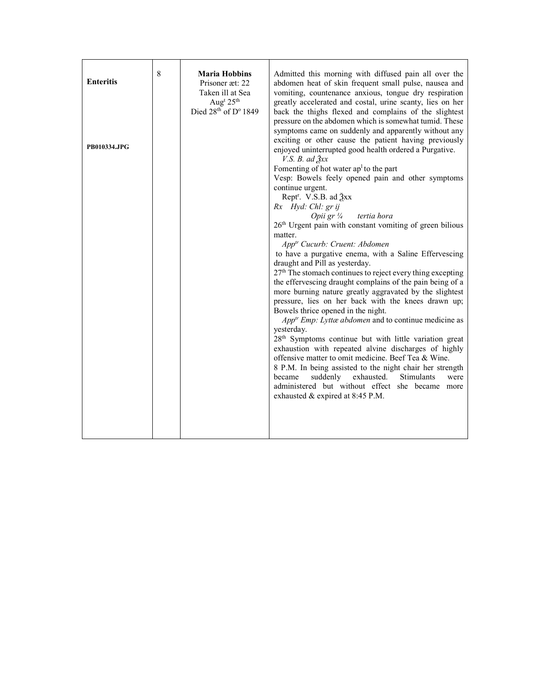| <b>Enteritis</b> | 8 | <b>Maria Hobbins</b><br>Prisoner æt: 22<br>Taken ill at Sea<br>Aug <sup>t</sup> 25 <sup>th</sup><br>Died 28th of D° 1849 | Admitted this morning with diffused pain all over the<br>abdomen heat of skin frequent small pulse, nausea and<br>vomiting, countenance anxious, tongue dry respiration<br>greatly accelerated and costal, urine scanty, lies on her<br>back the thighs flexed and complains of the slightest<br>pressure on the abdomen which is somewhat tumid. These                                                                                                                                                                                                                                                                                                                                                                                                                                                                                                                                                                                                                                                 |
|------------------|---|--------------------------------------------------------------------------------------------------------------------------|---------------------------------------------------------------------------------------------------------------------------------------------------------------------------------------------------------------------------------------------------------------------------------------------------------------------------------------------------------------------------------------------------------------------------------------------------------------------------------------------------------------------------------------------------------------------------------------------------------------------------------------------------------------------------------------------------------------------------------------------------------------------------------------------------------------------------------------------------------------------------------------------------------------------------------------------------------------------------------------------------------|
| PB010334.JPG     |   |                                                                                                                          | symptoms came on suddenly and apparently without any<br>exciting or other cause the patient having previously<br>enjoyed uninterrupted good health ordered a Purgative.<br>V.S. B. ad $\mathfrak{Z}xx$<br>Fomenting of hot water $ap1$ to the part<br>Vesp: Bowels feely opened pain and other symptoms<br>continue urgent.<br>Rept <sup>r</sup> . V.S.B. ad $\frac{3}{2}$ xx<br>Rx Hyd: Chl: gr ij<br>tertia hora<br>Opii gr $\frac{1}{4}$                                                                                                                                                                                                                                                                                                                                                                                                                                                                                                                                                             |
|                  |   |                                                                                                                          | 26 <sup>th</sup> Urgent pain with constant vomiting of green bilious<br>matter.<br>App <sup>tr</sup> Cucurb: Cruent: Abdomen<br>to have a purgative enema, with a Saline Effervescing<br>draught and Pill as yesterday.<br>27 <sup>th</sup> The stomach continues to reject every thing excepting<br>the effervescing draught complains of the pain being of a<br>more burning nature greatly aggravated by the slightest<br>pressure, lies on her back with the knees drawn up;<br>Bowels thrice opened in the night.<br>App <sup>tr</sup> Emp: Lyttæ abdomen and to continue medicine as<br>yesterday.<br>28 <sup>th</sup> Symptoms continue but with little variation great<br>exhaustion with repeated alvine discharges of highly<br>offensive matter to omit medicine. Beef Tea & Wine.<br>8 P.M. In being assisted to the night chair her strength<br>suddenly exhausted.<br>became<br>Stimulants<br>were<br>administered but without effect she became more<br>exhausted & expired at 8:45 P.M. |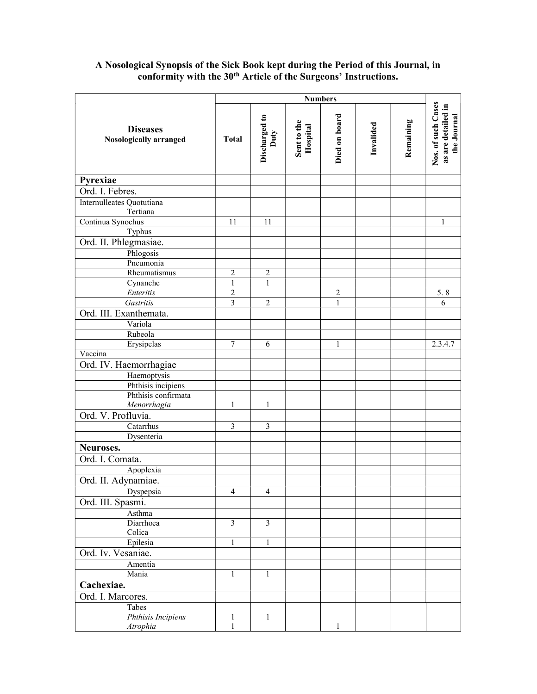### **Diseases** Nosologically arranged Numbers<br>
Discharged to<br>
Duty<br>
Duty<br>
Hospital<br>
Died on board<br>
Died on board<br>
Invalided<br>
Invalided<br>
Remaining<br>
Remaining<br>
Remaining<br>
Nos. of such Cases<br>
as are detailed in Pyrexiae Ord. I. Febres. Internulleates Quotutiana Tertiana Continua Synochus 11 11 1 Typhus Ord. II. Phlegmasiae. Phlogosis Pneumonia Rheumatismus  $\begin{vmatrix} 2 & 2 \end{vmatrix}$  2 Cynanche 1 1 1 Enteritis 2 2 5. 8 Gastritis 3 2 1 6 Ord. III. Exanthemata. Variola Rubeola Erysipelas 1 7 6 1 1 2.3.4.7 Vaccina Ord. IV. Haemorrhagiae Haemoptysis Phthisis incipiens Phthisis confirmata Menorrhagia 1 1 1 Ord. V. Profluvia. Catarrhus 3 3 3 Dysenteria Neuroses. Ord. I. Comata. Apoplexia Ord. II. Adynamiae. Dyspepsia 4 4 4 Ord. III. Spasmi. Asthma Diarrhoea Colica 3 3 Epilesia 1 1 1 1 Ord. Iv. Vesaniae. Amentia Mania 1 1 1 1 Cachexiae. Ord. I. Marcores. Tabes Phthisis Incipiens Atrophia 1 1 1 1

# A Nosological Synopsis of the Sick Book kept during the Period of this Journal, in conformity with the 30<sup>th</sup> Article of the Surgeons' Instructions.